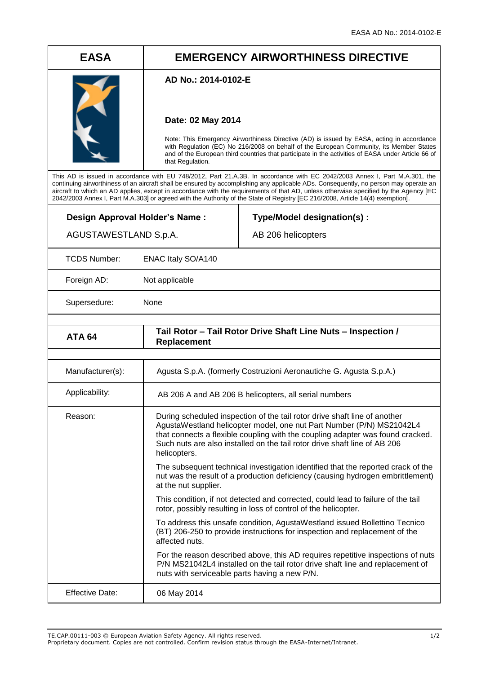# **EASA EMERGENCY AIRWORTHINESS DIRECTIVE**

### **AD No.: 2014-0102-E**

## **Date: 02 May 2014**

Note: This Emergency Airworthiness Directive (AD) is issued by EASA, acting in accordance with Regulation (EC) No 216/2008 on behalf of the European Community, its Member States and of the European third countries that participate in the activities of EASA under Article 66 of that Regulation.

This AD is issued in accordance with EU 748/2012, Part 21.A.3B. In accordance with EC 2042/2003 Annex I, Part M.A.301, the continuing airworthiness of an aircraft shall be ensured by accomplishing any applicable ADs. Consequently, no person may operate an aircraft to which an AD applies, except in accordance with the requirements of that AD, unless otherwise specified by the Agency [EC 2042/2003 Annex I, Part M.A.303] or agreed with the Authority of the State of Registry [EC 216/2008, Article 14(4) exemption].

| Design Approval Holder's Name:<br>AGUSTAWESTLAND S.p.A.      |                                                                                                                                                                                                                                                                                                                                  | Type/Model designation(s):<br>AB 206 helicopters                                                                                                                   |
|--------------------------------------------------------------|----------------------------------------------------------------------------------------------------------------------------------------------------------------------------------------------------------------------------------------------------------------------------------------------------------------------------------|--------------------------------------------------------------------------------------------------------------------------------------------------------------------|
| <b>TCDS Number:</b>                                          | ENAC Italy SO/A140                                                                                                                                                                                                                                                                                                               |                                                                                                                                                                    |
| Foreign AD:                                                  | Not applicable                                                                                                                                                                                                                                                                                                                   |                                                                                                                                                                    |
| None<br>Supersedure:                                         |                                                                                                                                                                                                                                                                                                                                  |                                                                                                                                                                    |
| Tail Rotor - Tail Rotor Drive Shaft Line Nuts - Inspection / |                                                                                                                                                                                                                                                                                                                                  |                                                                                                                                                                    |
| <b>ATA 64</b>                                                | Replacement                                                                                                                                                                                                                                                                                                                      |                                                                                                                                                                    |
| Manufacturer(s):                                             | Agusta S.p.A. (formerly Costruzioni Aeronautiche G. Agusta S.p.A.)                                                                                                                                                                                                                                                               |                                                                                                                                                                    |
| Applicability:                                               | AB 206 A and AB 206 B helicopters, all serial numbers                                                                                                                                                                                                                                                                            |                                                                                                                                                                    |
| Reason:                                                      | During scheduled inspection of the tail rotor drive shaft line of another<br>AgustaWestland helicopter model, one nut Part Number (P/N) MS21042L4<br>that connects a flexible coupling with the coupling adapter was found cracked.<br>Such nuts are also installed on the tail rotor drive shaft line of AB 206<br>helicopters. |                                                                                                                                                                    |
|                                                              | at the nut supplier.                                                                                                                                                                                                                                                                                                             | The subsequent technical investigation identified that the reported crack of the<br>nut was the result of a production deficiency (causing hydrogen embrittlement) |
|                                                              |                                                                                                                                                                                                                                                                                                                                  | This condition, if not detected and corrected, could lead to failure of the tail<br>rotor, possibly resulting in loss of control of the helicopter.                |
|                                                              | affected nuts.                                                                                                                                                                                                                                                                                                                   | To address this unsafe condition, AgustaWestland issued Bollettino Tecnico<br>(BT) 206-250 to provide instructions for inspection and replacement of the           |
|                                                              | nuts with serviceable parts having a new P/N.                                                                                                                                                                                                                                                                                    | For the reason described above, this AD requires repetitive inspections of nuts<br>P/N MS21042L4 installed on the tail rotor drive shaft line and replacement of   |
| <b>Effective Date:</b>                                       | 06 May 2014                                                                                                                                                                                                                                                                                                                      |                                                                                                                                                                    |

Proprietary document. Copies are not controlled. Confirm revision status through the EASA-Internet/Intranet.